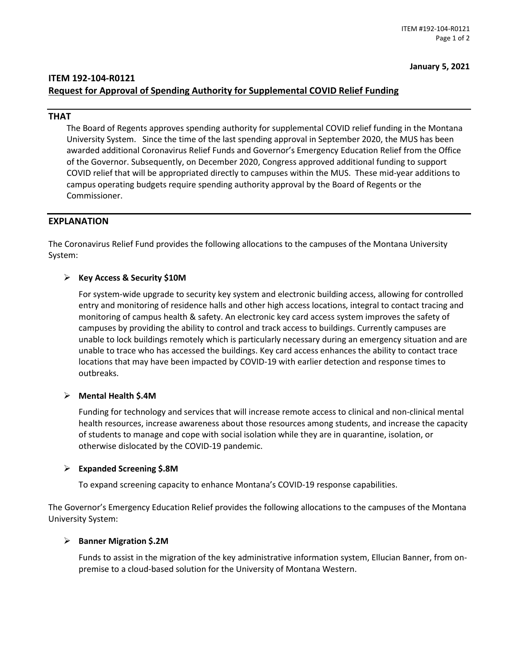**January 5, 2021**

# **ITEM 192-104-R0121 Request for Approval of Spending Authority for Supplemental COVID Relief Funding**

## **THAT**

The Board of Regents approves spending authority for supplemental COVID relief funding in the Montana University System. Since the time of the last spending approval in September 2020, the MUS has been awarded additional Coronavirus Relief Funds and Governor's Emergency Education Relief from the Office of the Governor. Subsequently, on December 2020, Congress approved additional funding to support COVID relief that will be appropriated directly to campuses within the MUS. These mid-year additions to campus operating budgets require spending authority approval by the Board of Regents or the Commissioner.

# **EXPLANATION**

The Coronavirus Relief Fund provides the following allocations to the campuses of the Montana University System:

### **Key Access & Security \$10M**

For system-wide upgrade to security key system and electronic building access, allowing for controlled entry and monitoring of residence halls and other high access locations, integral to contact tracing and monitoring of campus health & safety. An electronic key card access system improves the safety of campuses by providing the ability to control and track access to buildings. Currently campuses are unable to lock buildings remotely which is particularly necessary during an emergency situation and are unable to trace who has accessed the buildings. Key card access enhances the ability to contact trace locations that may have been impacted by COVID-19 with earlier detection and response times to outbreaks.

### **Mental Health \$.4M**

Funding for technology and services that will increase remote access to clinical and non-clinical mental health resources, increase awareness about those resources among students, and increase the capacity of students to manage and cope with social isolation while they are in quarantine, isolation, or otherwise dislocated by the COVID-19 pandemic.

#### **Expanded Screening \$.8M**

To expand screening capacity to enhance Montana's COVID-19 response capabilities.

The Governor's Emergency Education Relief provides the following allocations to the campuses of the Montana University System:

### **Banner Migration \$.2M**

Funds to assist in the migration of the key administrative information system, Ellucian Banner, from onpremise to a cloud-based solution for the University of Montana Western.